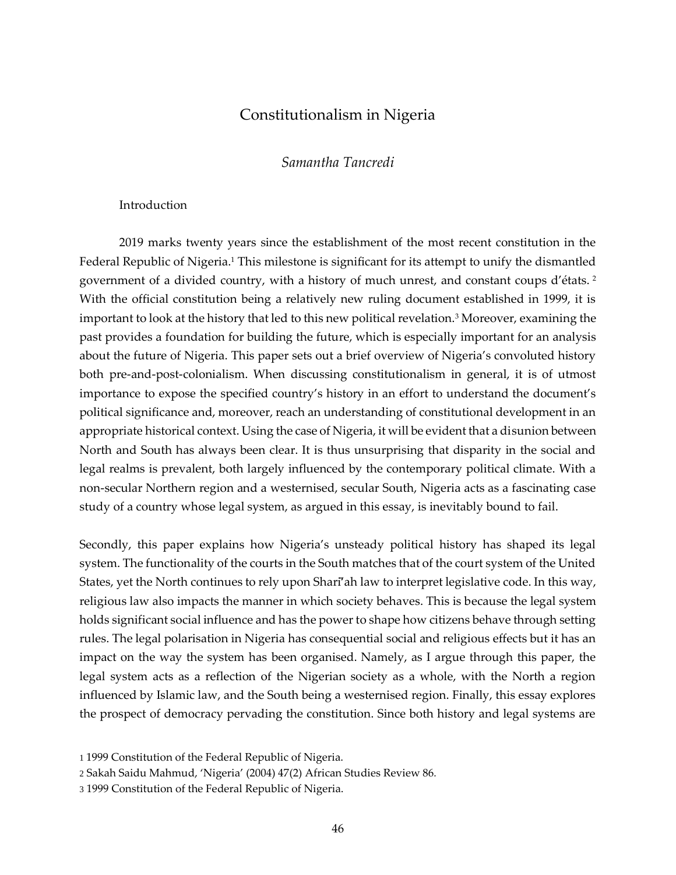# Constitutionalism in Nigeria

### *Samantha Tancredi*

#### **Introduction**

2019 marks twenty years since the establishment of the most recent constitution in the Federal Republic of Nigeria.<sup>1</sup> This milestone is significant for its attempt to unify the dismantled government of a divided country, with a history of much unrest, and constant coups d'états. <sup>2</sup> With the official constitution being a relatively new ruling document established in 1999, it is important to look at the history that led to this new political revelation.<sup>3</sup> Moreover, examining the past provides a foundation for building the future, which is especially important for an analysis about the future of Nigeria. This paper sets out a brief overview of Nigeria's convoluted history both pre-and-post-colonialism. When discussing constitutionalism in general, it is of utmost importance to expose the specified country's history in an effort to understand the document's political significance and, moreover, reach an understanding of constitutional development in an appropriate historical context. Using the case of Nigeria, it will be evident that a disunion between North and South has always been clear. It is thus unsurprising that disparity in the social and legal realms is prevalent, both largely influenced by the contemporary political climate. With a non-secular Northern region and a westernised, secular South, Nigeria acts as a fascinating case study of a country whose legal system, as argued in this essay, is inevitably bound to fail.

Secondly, this paper explains how Nigeria's unsteady political history has shaped its legal system. The functionality of the courts in the South matches that of the court system of the United States, yet the North continues to rely upon Sharī'ah law to interpret legislative code. In this way, religious law also impacts the manner in which society behaves. This is because the legal system holds significant social influence and has the power to shape how citizens behave through setting rules. The legal polarisation in Nigeria has consequential social and religious effects but it has an impact on the way the system has been organised. Namely, as I argue through this paper, the legal system acts as a reflection of the Nigerian society as a whole, with the North a region influenced by Islamic law, and the South being a westernised region. Finally, this essay explores the prospect of democracy pervading the constitution. Since both history and legal systems are

<sup>1</sup> 1999 Constitution of the Federal Republic of Nigeria.

<sup>2</sup> Sakah Saidu Mahmud, 'Nigeria' (2004) 47(2) African Studies Review 86*.*

<sup>3</sup> 1999 Constitution of the Federal Republic of Nigeria.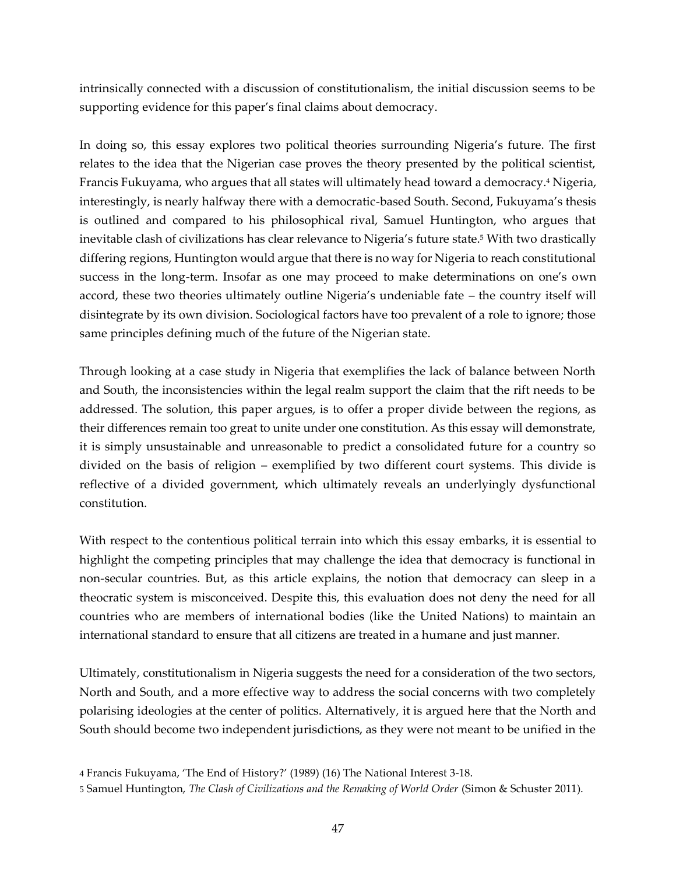intrinsically connected with a discussion of constitutionalism, the initial discussion seems to be supporting evidence for this paper's final claims about democracy.

In doing so, this essay explores two political theories surrounding Nigeria's future. The first relates to the idea that the Nigerian case proves the theory presented by the political scientist, Francis Fukuyama, who argues that all states will ultimately head toward a democracy.<sup>4</sup> Nigeria, interestingly, is nearly halfway there with a democratic-based South. Second, Fukuyama's thesis is outlined and compared to his philosophical rival, Samuel Huntington, who argues that inevitable clash of civilizations has clear relevance to Nigeria's future state.<sup>5</sup> With two drastically differing regions, Huntington would argue that there is no way for Nigeria to reach constitutional success in the long-term. Insofar as one may proceed to make determinations on one's own accord, these two theories ultimately outline Nigeria's undeniable fate – the country itself will disintegrate by its own division. Sociological factors have too prevalent of a role to ignore; those same principles defining much of the future of the Nigerian state.

Through looking at a case study in Nigeria that exemplifies the lack of balance between North and South, the inconsistencies within the legal realm support the claim that the rift needs to be addressed. The solution, this paper argues, is to offer a proper divide between the regions, as their differences remain too great to unite under one constitution. As this essay will demonstrate, it is simply unsustainable and unreasonable to predict a consolidated future for a country so divided on the basis of religion – exemplified by two different court systems. This divide is reflective of a divided government, which ultimately reveals an underlyingly dysfunctional constitution.

With respect to the contentious political terrain into which this essay embarks, it is essential to highlight the competing principles that may challenge the idea that democracy is functional in non-secular countries. But, as this article explains, the notion that democracy can sleep in a theocratic system is misconceived. Despite this, this evaluation does not deny the need for all countries who are members of international bodies (like the United Nations) to maintain an international standard to ensure that all citizens are treated in a humane and just manner.

Ultimately, constitutionalism in Nigeria suggests the need for a consideration of the two sectors, North and South, and a more effective way to address the social concerns with two completely polarising ideologies at the center of politics. Alternatively, it is argued here that the North and South should become two independent jurisdictions, as they were not meant to be unified in the

<sup>4</sup> Francis Fukuyama, 'The End of History?' (1989) (16) The National Interest 3-18.

<sup>5</sup> Samuel Huntington, *The Clash of Civilizations and the Remaking of World Order* (Simon & Schuster 2011).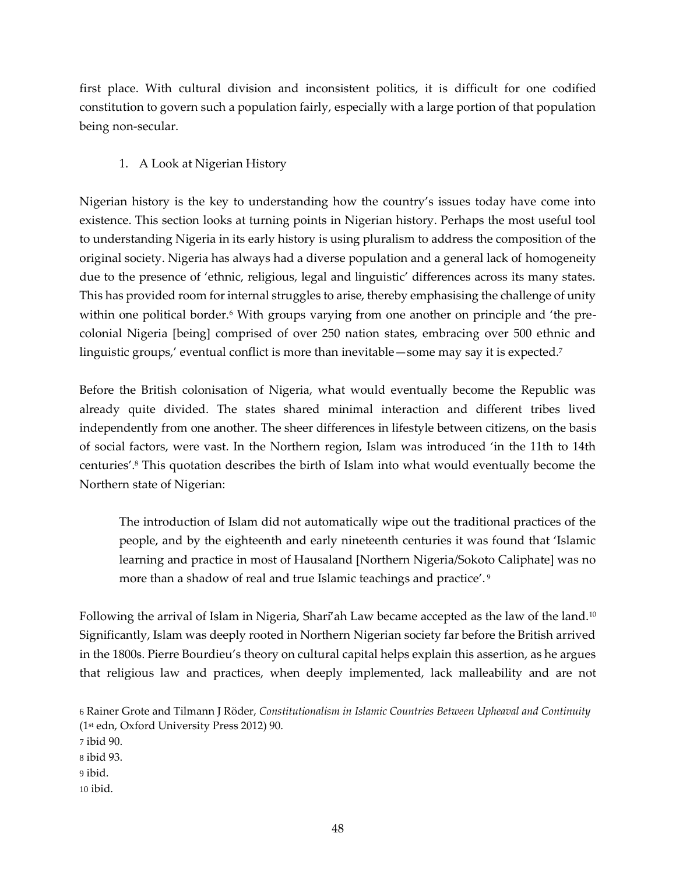first place. With cultural division and inconsistent politics, it is difficult for one codified constitution to govern such a population fairly, especially with a large portion of that population being non-secular.

# 1. A Look at Nigerian History

Nigerian history is the key to understanding how the country's issues today have come into existence. This section looks at turning points in Nigerian history. Perhaps the most useful tool to understanding Nigeria in its early history is using pluralism to address the composition of the original society. Nigeria has always had a diverse population and a general lack of homogeneity due to the presence of 'ethnic, religious, legal and linguistic' differences across its many states. This has provided room for internal struggles to arise, thereby emphasising the challenge of unity within one political border.<sup>6</sup> With groups varying from one another on principle and 'the precolonial Nigeria [being] comprised of over 250 nation states, embracing over 500 ethnic and linguistic groups,' eventual conflict is more than inevitable—some may say it is expected.<sup>7</sup>

Before the British colonisation of Nigeria, what would eventually become the Republic was already quite divided. The states shared minimal interaction and different tribes lived independently from one another. The sheer differences in lifestyle between citizens, on the basis of social factors, were vast. In the Northern region, Islam was introduced 'in the 11th to 14th centuries'.<sup>8</sup> This quotation describes the birth of Islam into what would eventually become the Northern state of Nigerian:

The introduction of Islam did not automatically wipe out the traditional practices of the people, and by the eighteenth and early nineteenth centuries it was found that 'Islamic learning and practice in most of Hausaland [Northern Nigeria/Sokoto Caliphate] was no more than a shadow of real and true Islamic teachings and practice'. <sup>9</sup>

Following the arrival of Islam in Nigeria, Shari<sup>'</sup>ah Law became accepted as the law of the land.<sup>10</sup> Significantly, Islam was deeply rooted in Northern Nigerian society far before the British arrived in the 1800s. Pierre Bourdieu's theory on cultural capital helps explain this assertion, as he argues that religious law and practices, when deeply implemented, lack malleability and are not

6 Rainer Grote and Tilmann J Röder, *Constitutionalism in Islamic Countries Between Upheaval and Continuity* (1st edn, Oxford University Press 2012) 90. 7 ibid 90. 8 ibid 93. 9 ibid. 10 ibid.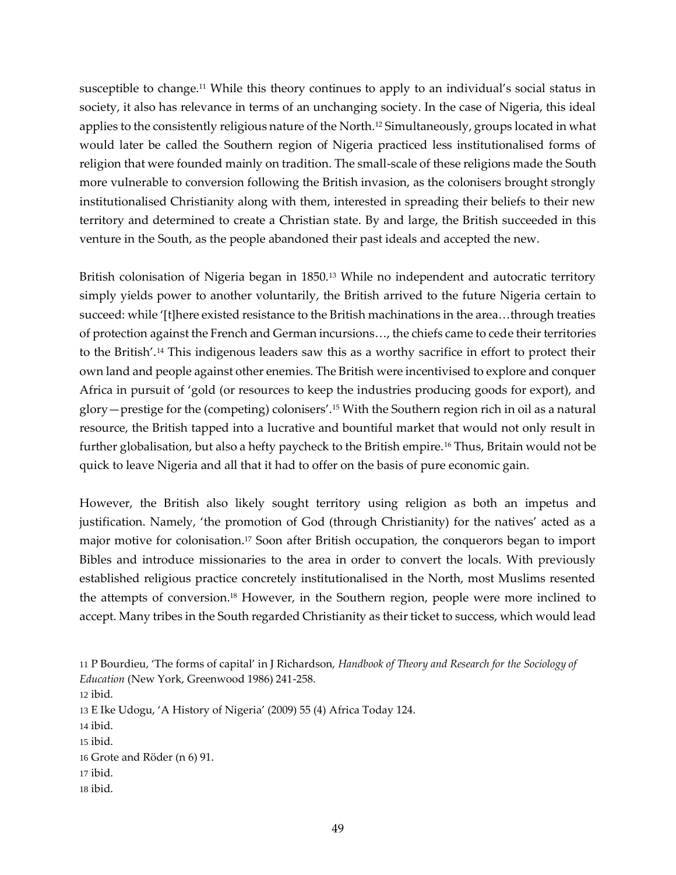susceptible to change.<sup>11</sup> While this theory continues to apply to an individual's social status in society, it also has relevance in terms of an unchanging society. In the case of Nigeria, this ideal applies to the consistently religious nature of the North.<sup>12</sup> Simultaneously, groups located in what would later be called the Southern region of Nigeria practiced less institutionalised forms of religion that were founded mainly on tradition. The small-scale of these religions made the South more vulnerable to conversion following the British invasion, as the colonisers brought strongly institutionalised Christianity along with them, interested in spreading their beliefs to their new territory and determined to create a Christian state. By and large, the British succeeded in this venture in the South, as the people abandoned their past ideals and accepted the new.

British colonisation of Nigeria began in 1850.<sup>13</sup> While no independent and autocratic territory simply yields power to another voluntarily, the British arrived to the future Nigeria certain to succeed: while '[t]here existed resistance to the British machinations in the area…through treaties of protection against the French and German incursions…, the chiefs came to cede their territories to the British'.<sup>14</sup> This indigenous leaders saw this as a worthy sacrifice in effort to protect their own land and people against other enemies. The British were incentivised to explore and conquer Africa in pursuit of 'gold (or resources to keep the industries producing goods for export), and glory—prestige for the (competing) colonisers'.<sup>15</sup> With the Southern region rich in oil as a natural resource, the British tapped into a lucrative and bountiful market that would not only result in further globalisation, but also a hefty paycheck to the British empire.<sup>16</sup> Thus, Britain would not be quick to leave Nigeria and all that it had to offer on the basis of pure economic gain.

However, the British also likely sought territory using religion as both an impetus and justification. Namely, 'the promotion of God (through Christianity) for the natives' acted as a major motive for colonisation.<sup>17</sup> Soon after British occupation, the conquerors began to import Bibles and introduce missionaries to the area in order to convert the locals. With previously established religious practice concretely institutionalised in the North, most Muslims resented the attempts of conversion.<sup>18</sup> However, in the Southern region, people were more inclined to accept. Many tribes in the South regarded Christianity as their ticket to success, which would lead

- 17 ibid.
- 18 ibid.

<sup>11</sup> P Bourdieu, 'The forms of capital' in J Richardson, *Handbook of Theory and Research for the Sociology of Education* (New York, Greenwood 1986) 241-258.

<sup>12</sup> ibid.

<sup>13</sup> E Ike Udogu, 'A History of Nigeria' (2009) 55 (4) Africa Today 124.

<sup>14</sup> ibid.

<sup>15</sup> ibid.

<sup>16</sup> Grote and Röder (n 6) 91.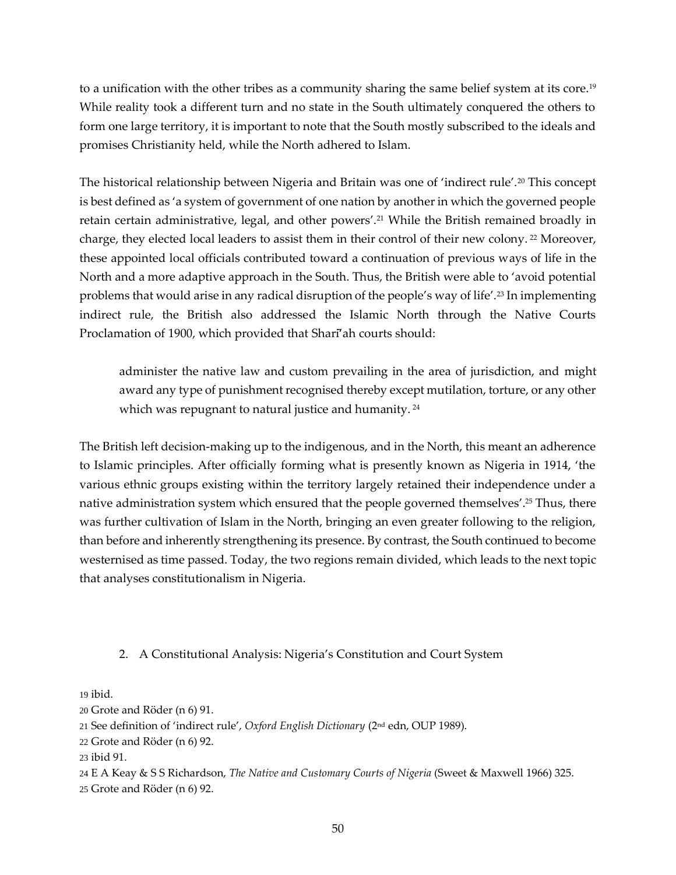to a unification with the other tribes as a community sharing the same belief system at its core.<sup>19</sup> While reality took a different turn and no state in the South ultimately conquered the others to form one large territory, it is important to note that the South mostly subscribed to the ideals and promises Christianity held, while the North adhered to Islam.

The historical relationship between Nigeria and Britain was one of 'indirect rule'.<sup>20</sup> This concept is best defined as 'a system of government of one nation by another in which the governed people retain certain administrative, legal, and other powers'.<sup>21</sup> While the British remained broadly in charge, they elected local leaders to assist them in their control of their new colony.<sup>22</sup> Moreover, these appointed local officials contributed toward a continuation of previous ways of life in the North and a more adaptive approach in the South. Thus, the British were able to 'avoid potential problems that would arise in any radical disruption of the people's way of life'.<sup>23</sup> In implementing indirect rule, the British also addressed the Islamic North through the Native Courts Proclamation of 1900, which provided that Shari<sup>7</sup>ah courts should:

administer the native law and custom prevailing in the area of jurisdiction, and might award any type of punishment recognised thereby except mutilation, torture, or any other which was repugnant to natural justice and humanity.<sup>24</sup>

The British left decision-making up to the indigenous, and in the North, this meant an adherence to Islamic principles. After officially forming what is presently known as Nigeria in 1914, 'the various ethnic groups existing within the territory largely retained their independence under a native administration system which ensured that the people governed themselves'.<sup>25</sup> Thus, there was further cultivation of Islam in the North, bringing an even greater following to the religion, than before and inherently strengthening its presence. By contrast, the South continued to become westernised as time passed. Today, the two regions remain divided, which leads to the next topic that analyses constitutionalism in Nigeria.

## 2. A Constitutional Analysis: Nigeria's Constitution and Court System

19 ibid.

<sup>20</sup> Grote and Röder (n 6) 91.

<sup>21</sup> See definition of 'indirect rule', *Oxford English Dictionary* (2nd edn, OUP 1989).

<sup>22</sup> Grote and Röder (n 6) 92.

<sup>23</sup> ibid 91.

<sup>24</sup> E A Keay & S S Richardson, *The Native and Customary Courts of Nigeria* (Sweet & Maxwell 1966) 325.

<sup>25</sup> Grote and Röder (n 6) 92.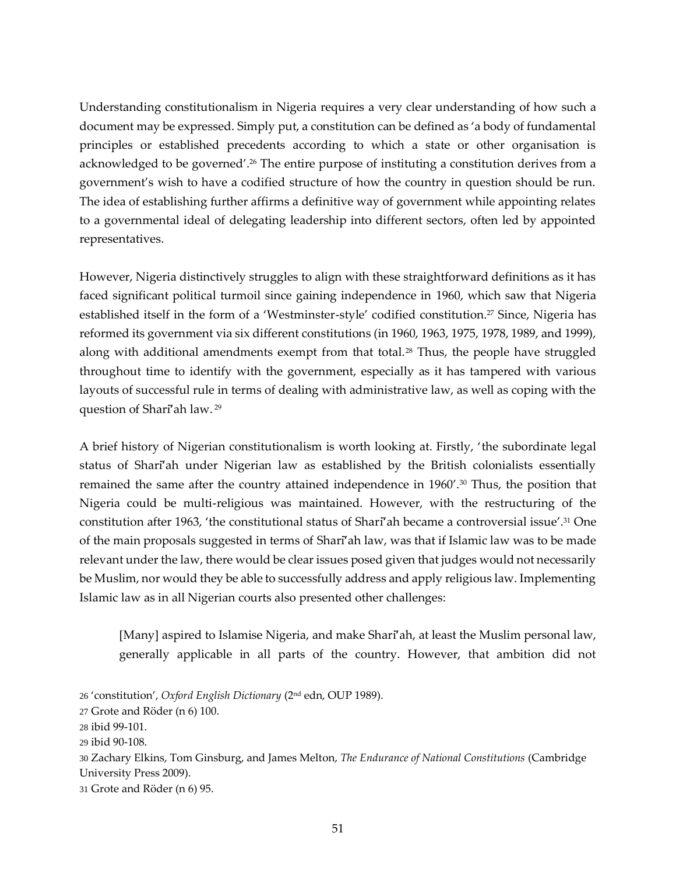Understanding constitutionalism in Nigeria requires a very clear understanding of how such a document may be expressed. Simply put, a constitution can be defined as 'a body of fundamental principles or established precedents according to which a state or other organisation is acknowledged to be governed'.<sup>26</sup> The entire purpose of instituting a constitution derives from a government's wish to have a codified structure of how the country in question should be run. The idea of establishing further affirms a definitive way of government while appointing relates to a governmental ideal of delegating leadership into different sectors, often led by appointed representatives.

However, Nigeria distinctively struggles to align with these straightforward definitions as it has faced significant political turmoil since gaining independence in 1960, which saw that Nigeria established itself in the form of a 'Westminster-style' codified constitution.<sup>27</sup> Since, Nigeria has reformed its government via six different constitutions (in 1960, 1963, 1975, 1978, 1989, and 1999), along with additional amendments exempt from that total.<sup>28</sup> Thus, the people have struggled throughout time to identify with the government, especially as it has tampered with various layouts of successful rule in terms of dealing with administrative law, as well as coping with the question of Shari<sup>7</sup>ah law.<sup>29</sup>

A brief history of Nigerian constitutionalism is worth looking at. Firstly, 'the subordinate legal status of Shari<sup>7</sup>ah under Nigerian law as established by the British colonialists essentially remained the same after the country attained independence in  $1960'$ .<sup>30</sup> Thus, the position that Nigeria could be multi-religious was maintained. However, with the restructuring of the constitution after 1963, 'the constitutional status of Sharī'ah became a controversial issue'.<sup>31</sup> One of the main proposals suggested in terms of Sharī'ah law, was that if Islamic law was to be made relevant under the law, there would be clear issues posed given that judges would not necessarily be Muslim, nor would they be able to successfully address and apply religious law. Implementing Islamic law as in all Nigerian courts also presented other challenges:

[Many] aspired to Islamise Nigeria, and make Sharī'ah, at least the Muslim personal law, generally applicable in all parts of the country. However, that ambition did not

30 Zachary Elkins, Tom Ginsburg, and James Melton, *The Endurance of National Constitutions* (Cambridge University Press 2009).

31 Grote and Röder (n 6) 95.

<sup>26</sup> 'constitution', *Oxford English Dictionary* (2nd edn, OUP 1989).

<sup>27</sup> Grote and Röder (n 6) 100.

<sup>28</sup> ibid 99-101.

<sup>29</sup> ibid 90-108.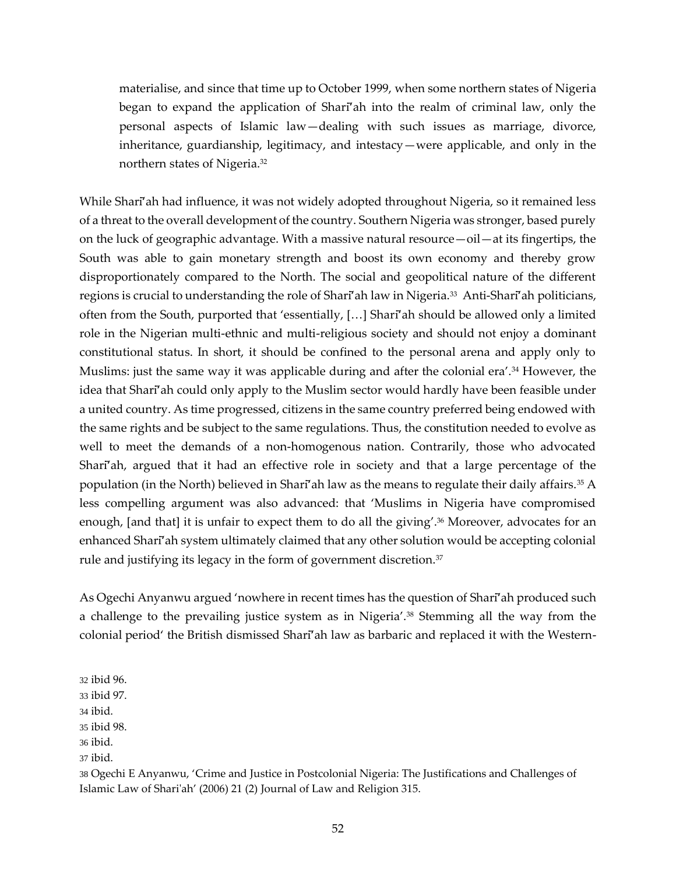materialise, and since that time up to October 1999, when some northern states of Nigeria began to expand the application of Sharī'ah into the realm of criminal law, only the personal aspects of Islamic law—dealing with such issues as marriage, divorce, inheritance, guardianship, legitimacy, and intestacy—were applicable, and only in the northern states of Nigeria.<sup>32</sup>

While Shari<sup>'</sup>ah had influence, it was not widely adopted throughout Nigeria, so it remained less of a threat to the overall development of the country. Southern Nigeria was stronger, based purely on the luck of geographic advantage. With a massive natural resource—oil—at its fingertips, the South was able to gain monetary strength and boost its own economy and thereby grow disproportionately compared to the North. The social and geopolitical nature of the different regions is crucial to understanding the role of Shari<sup>7</sup>ah law in Nigeria.<sup>33</sup> Anti-Shari<sup>7</sup>ah politicians, often from the South, purported that 'essentially, […] Sharī'ah should be allowed only a limited role in the Nigerian multi-ethnic and multi-religious society and should not enjoy a dominant constitutional status. In short, it should be confined to the personal arena and apply only to Muslims: just the same way it was applicable during and after the colonial era'.<sup>34</sup> However, the idea that Sharī'ah could only apply to the Muslim sector would hardly have been feasible under a united country. As time progressed, citizens in the same country preferred being endowed with the same rights and be subject to the same regulations. Thus, the constitution needed to evolve as well to meet the demands of a non-homogenous nation. Contrarily, those who advocated Shari<sup>T</sup>ah, argued that it had an effective role in society and that a large percentage of the population (in the North) believed in Sharī'ah law as the means to regulate their daily affairs.<sup>35</sup> A less compelling argument was also advanced: that 'Muslims in Nigeria have compromised enough, [and that] it is unfair to expect them to do all the giving'.<sup>36</sup> Moreover, advocates for an enhanced Sharī'ah system ultimately claimed that any other solution would be accepting colonial rule and justifying its legacy in the form of government discretion.<sup>37</sup>

As Ogechi Anyanwu argued 'nowhere in recent times has the question of Sharī'ah produced such a challenge to the prevailing justice system as in Nigeria'.<sup>38</sup> Stemming all the way from the colonial period' the British dismissed Shari<sup>7</sup>ah law as barbaric and replaced it with the Western-

32 ibid 96.

- 33 ibid 97.
- 34 ibid.
- 35 ibid 98.
- 36 ibid.
- 37 ibid.

38 Ogechi E Anyanwu, 'Crime and Justice in Postcolonial Nigeria: The Justifications and Challenges of Islamic Law of Shari'ah' (2006) 21 (2) Journal of Law and Religion 315.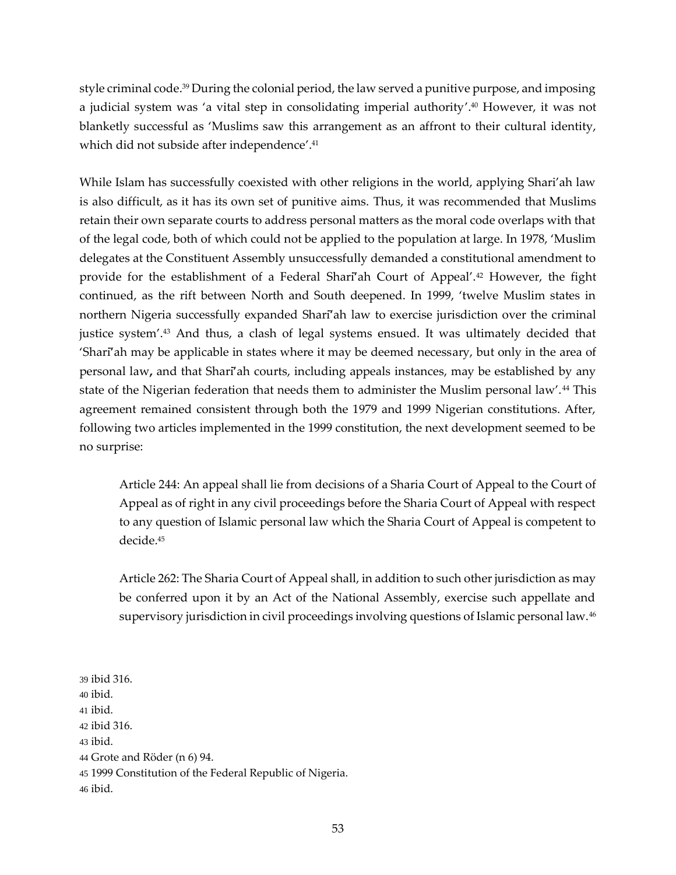style criminal code. <sup>39</sup> During the colonial period, the law served a punitive purpose, and imposing a judicial system was 'a vital step in consolidating imperial authority'.<sup>40</sup> However, it was not blanketly successful as 'Muslims saw this arrangement as an affront to their cultural identity, which did not subside after independence'.<sup>41</sup>

While Islam has successfully coexisted with other religions in the world, applying Shari'ah law is also difficult, as it has its own set of punitive aims. Thus, it was recommended that Muslims retain their own separate courts to address personal matters as the moral code overlaps with that of the legal code, both of which could not be applied to the population at large. In 1978, 'Muslim delegates at the Constituent Assembly unsuccessfully demanded a constitutional amendment to provide for the establishment of a Federal Sharī'ah Court of Appeal'.<sup>42</sup> However, the fight continued, as the rift between North and South deepened. In 1999, 'twelve Muslim states in northern Nigeria successfully expanded Sharī'ah law to exercise jurisdiction over the criminal justice system'.<sup>43</sup> And thus, a clash of legal systems ensued. It was ultimately decided that 'Sharī'ah may be applicable in states where it may be deemed necessary, but only in the area of personal law**,** and that Sharī'ah courts, including appeals instances, may be established by any state of the Nigerian federation that needs them to administer the Muslim personal law'.<sup>44</sup> This agreement remained consistent through both the 1979 and 1999 Nigerian constitutions. After, following two articles implemented in the 1999 constitution, the next development seemed to be no surprise:

Article 244: An appeal shall lie from decisions of a Sharia Court of Appeal to the Court of Appeal as of right in any civil proceedings before the Sharia Court of Appeal with respect to any question of Islamic personal law which the Sharia Court of Appeal is competent to decide.<sup>45</sup>

Article 262: The Sharia Court of Appeal shall, in addition to such other jurisdiction as may be conferred upon it by an Act of the National Assembly, exercise such appellate and supervisory jurisdiction in civil proceedings involving questions of Islamic personal law.<sup>46</sup>

39 ibid 316. 40 ibid. 41 ibid. 42 ibid 316. 43 ibid. 44 Grote and Röder (n 6) 94. 45 1999 Constitution of the Federal Republic of Nigeria. 46 ibid.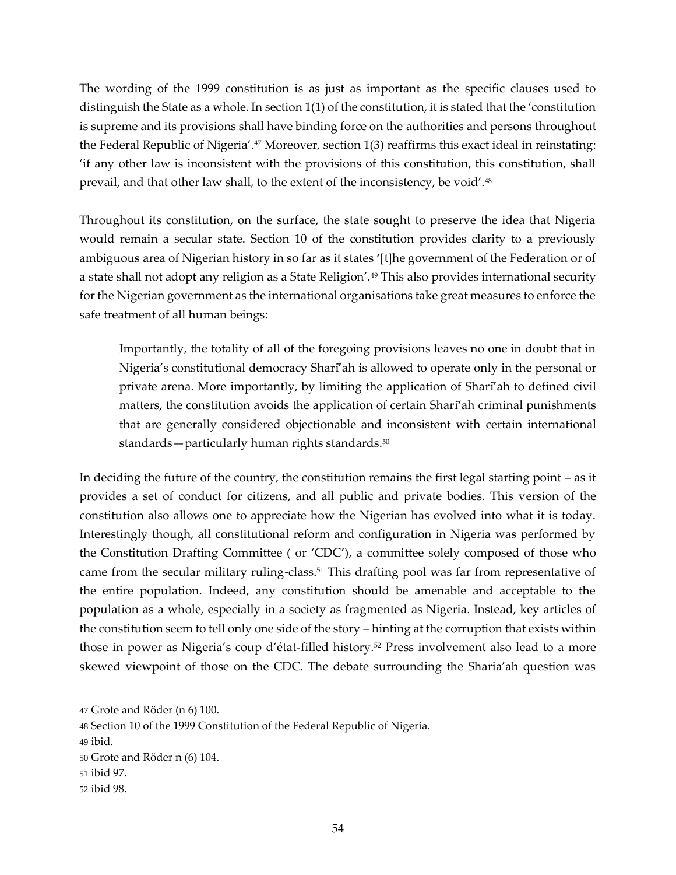The wording of the 1999 constitution is as just as important as the specific clauses used to distinguish the State as a whole. In section 1(1) of the constitution, it is stated that the 'constitution is supreme and its provisions shall have binding force on the authorities and persons throughout the Federal Republic of Nigeria'.<sup>47</sup> Moreover, section 1(3) reaffirms this exact ideal in reinstating: 'if any other law is inconsistent with the provisions of this constitution, this constitution, shall prevail, and that other law shall, to the extent of the inconsistency, be void'.<sup>48</sup>

Throughout its constitution, on the surface, the state sought to preserve the idea that Nigeria would remain a secular state. Section 10 of the constitution provides clarity to a previously ambiguous area of Nigerian history in so far as it states '[t]he government of the Federation or of a state shall not adopt any religion as a State Religion'.<sup>49</sup> This also provides international security for the Nigerian government as the international organisations take great measures to enforce the safe treatment of all human beings:

Importantly, the totality of all of the foregoing provisions leaves no one in doubt that in Nigeria's constitutional democracy Shari<sup>7</sup>ah is allowed to operate only in the personal or private arena. More importantly, by limiting the application of Sharī'ah to defined civil matters, the constitution avoids the application of certain Sharī'ah criminal punishments that are generally considered objectionable and inconsistent with certain international standards—particularly human rights standards.<sup>50</sup>

In deciding the future of the country, the constitution remains the first legal starting point – as it provides a set of conduct for citizens, and all public and private bodies. This version of the constitution also allows one to appreciate how the Nigerian has evolved into what it is today. Interestingly though, all constitutional reform and configuration in Nigeria was performed by the Constitution Drafting Committee ( or 'CDC'), a committee solely composed of those who came from the secular military ruling-class.<sup>51</sup> This drafting pool was far from representative of the entire population. Indeed, any constitution should be amenable and acceptable to the population as a whole, especially in a society as fragmented as Nigeria. Instead, key articles of the constitution seem to tell only one side of the story – hinting at the corruption that exists within those in power as Nigeria's coup d'état-filled history.<sup>52</sup> Press involvement also lead to a more skewed viewpoint of those on the CDC. The debate surrounding the Sharia'ah question was

<sup>47</sup> Grote and Röder (n 6) 100.

<sup>48</sup> Section 10 of the 1999 Constitution of the Federal Republic of Nigeria.

<sup>49</sup> ibid.

<sup>50</sup> Grote and Röder n (6) 104.

<sup>51</sup> ibid 97.

<sup>52</sup> ibid 98.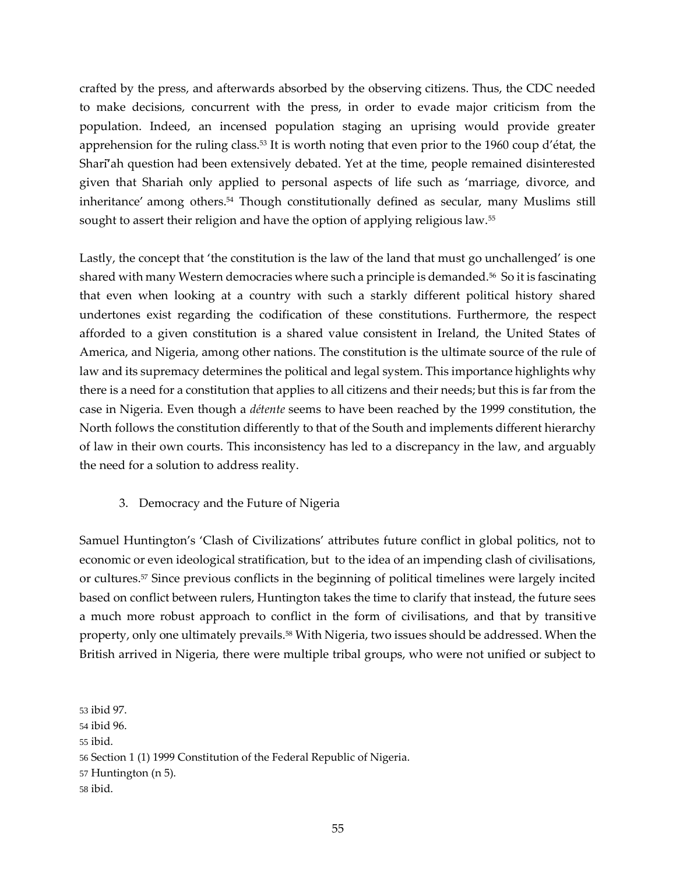crafted by the press, and afterwards absorbed by the observing citizens. Thus, the CDC needed to make decisions, concurrent with the press, in order to evade major criticism from the population. Indeed, an incensed population staging an uprising would provide greater apprehension for the ruling class.<sup>53</sup> It is worth noting that even prior to the 1960 coup d'état, the Shari<sup>7</sup>ah question had been extensively debated. Yet at the time, people remained disinterested given that Shariah only applied to personal aspects of life such as 'marriage, divorce, and inheritance' among others.<sup>54</sup> Though constitutionally defined as secular, many Muslims still sought to assert their religion and have the option of applying religious law.<sup>55</sup>

Lastly, the concept that 'the constitution is the law of the land that must go unchallenged' is one shared with many Western democracies where such a principle is demanded.<sup>56</sup> So it is fascinating that even when looking at a country with such a starkly different political history shared undertones exist regarding the codification of these constitutions. Furthermore, the respect afforded to a given constitution is a shared value consistent in Ireland, the United States of America, and Nigeria, among other nations. The constitution is the ultimate source of the rule of law and its supremacy determines the political and legal system. This importance highlights why there is a need for a constitution that applies to all citizens and their needs; but this is far from the case in Nigeria. Even though a *détente* seems to have been reached by the 1999 constitution, the North follows the constitution differently to that of the South and implements different hierarchy of law in their own courts. This inconsistency has led to a discrepancy in the law, and arguably the need for a solution to address reality.

### 3. Democracy and the Future of Nigeria

Samuel Huntington's 'Clash of Civilizations' attributes future conflict in global politics, not to economic or even ideological stratification, but to the idea of an impending clash of civilisations, or cultures.<sup>57</sup> Since previous conflicts in the beginning of political timelines were largely incited based on conflict between rulers, Huntington takes the time to clarify that instead, the future sees a much more robust approach to conflict in the form of civilisations, and that by transitive property, only one ultimately prevails.<sup>58</sup> With Nigeria, two issues should be addressed. When the British arrived in Nigeria, there were multiple tribal groups, who were not unified or subject to

<sup>53</sup> ibid 97. 54 ibid 96. 55 ibid. 56 Section 1 (1) 1999 Constitution of the Federal Republic of Nigeria. 57 Huntington (n 5). 58 ibid.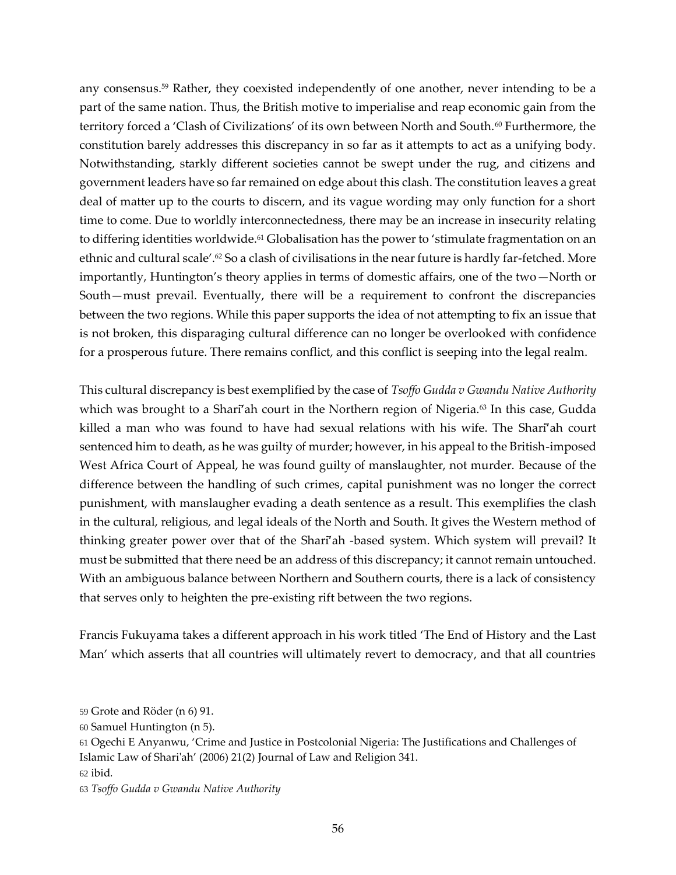any consensus.<sup>59</sup> Rather, they coexisted independently of one another, never intending to be a part of the same nation. Thus, the British motive to imperialise and reap economic gain from the territory forced a 'Clash of Civilizations' of its own between North and South.<sup>60</sup> Furthermore, the constitution barely addresses this discrepancy in so far as it attempts to act as a unifying body. Notwithstanding, starkly different societies cannot be swept under the rug, and citizens and government leaders have so far remained on edge about this clash. The constitution leaves a great deal of matter up to the courts to discern, and its vague wording may only function for a short time to come. Due to worldly interconnectedness, there may be an increase in insecurity relating to differing identities worldwide.<sup>61</sup> Globalisation has the power to 'stimulate fragmentation on an ethnic and cultural scale'.<sup>62</sup> So a clash of civilisations in the near future is hardly far-fetched. More importantly, Huntington's theory applies in terms of domestic affairs, one of the two—North or South—must prevail. Eventually, there will be a requirement to confront the discrepancies between the two regions. While this paper supports the idea of not attempting to fix an issue that is not broken, this disparaging cultural difference can no longer be overlooked with confidence for a prosperous future. There remains conflict, and this conflict is seeping into the legal realm.

This cultural discrepancy is best exemplified by the case of *Tsoffo Gudda v Gwandu Native Authority* which was brought to a Shari<sup>7</sup>ah court in the Northern region of Nigeria.<sup>63</sup> In this case, Gudda killed a man who was found to have had sexual relations with his wife. The Sharī'ah court sentenced him to death, as he was guilty of murder; however, in his appeal to the British-imposed West Africa Court of Appeal, he was found guilty of manslaughter, not murder. Because of the difference between the handling of such crimes, capital punishment was no longer the correct punishment, with manslaugher evading a death sentence as a result. This exemplifies the clash in the cultural, religious, and legal ideals of the North and South. It gives the Western method of thinking greater power over that of the Sharī'ah -based system. Which system will prevail? It must be submitted that there need be an address of this discrepancy; it cannot remain untouched. With an ambiguous balance between Northern and Southern courts, there is a lack of consistency that serves only to heighten the pre-existing rift between the two regions.

Francis Fukuyama takes a different approach in his work titled 'The End of History and the Last Man' which asserts that all countries will ultimately revert to democracy, and that all countries

<sup>59</sup> Grote and Röder (n 6) 91.

<sup>60</sup> Samuel Huntington (n 5).

<sup>61</sup> Ogechi E Anyanwu, 'Crime and Justice in Postcolonial Nigeria: The Justifications and Challenges of Islamic Law of Shari'ah' (2006) 21(2) Journal of Law and Religion 341.

<sup>62</sup> ibid*.*

<sup>63</sup> *Tsoffo Gudda v Gwandu Native Authority*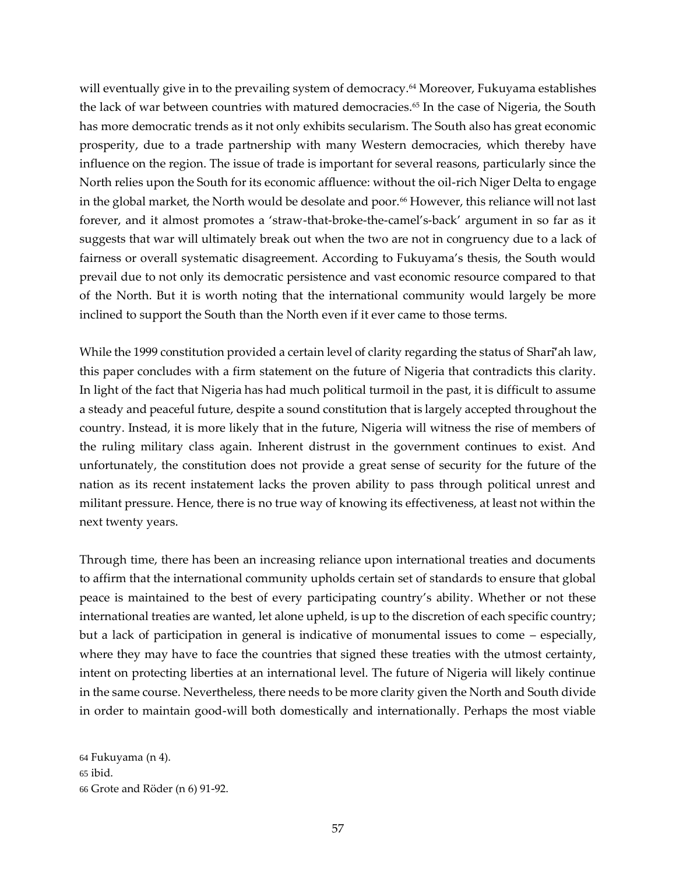will eventually give in to the prevailing system of democracy.<sup>64</sup> Moreover, Fukuyama establishes the lack of war between countries with matured democracies.<sup>65</sup> In the case of Nigeria, the South has more democratic trends as it not only exhibits secularism. The South also has great economic prosperity, due to a trade partnership with many Western democracies, which thereby have influence on the region. The issue of trade is important for several reasons, particularly since the North relies upon the South for its economic affluence: without the oil-rich Niger Delta to engage in the global market, the North would be desolate and poor.<sup>66</sup> However, this reliance will not last forever, and it almost promotes a 'straw-that-broke-the-camel's-back' argument in so far as it suggests that war will ultimately break out when the two are not in congruency due to a lack of fairness or overall systematic disagreement. According to Fukuyama's thesis, the South would prevail due to not only its democratic persistence and vast economic resource compared to that of the North. But it is worth noting that the international community would largely be more inclined to support the South than the North even if it ever came to those terms.

While the 1999 constitution provided a certain level of clarity regarding the status of Shari<sup>7</sup>ah law, this paper concludes with a firm statement on the future of Nigeria that contradicts this clarity. In light of the fact that Nigeria has had much political turmoil in the past, it is difficult to assume a steady and peaceful future, despite a sound constitution that is largely accepted throughout the country. Instead, it is more likely that in the future, Nigeria will witness the rise of members of the ruling military class again. Inherent distrust in the government continues to exist. And unfortunately, the constitution does not provide a great sense of security for the future of the nation as its recent instatement lacks the proven ability to pass through political unrest and militant pressure. Hence, there is no true way of knowing its effectiveness, at least not within the next twenty years.

Through time, there has been an increasing reliance upon international treaties and documents to affirm that the international community upholds certain set of standards to ensure that global peace is maintained to the best of every participating country's ability. Whether or not these international treaties are wanted, let alone upheld, is up to the discretion of each specific country; but a lack of participation in general is indicative of monumental issues to come – especially, where they may have to face the countries that signed these treaties with the utmost certainty, intent on protecting liberties at an international level. The future of Nigeria will likely continue in the same course. Nevertheless, there needs to be more clarity given the North and South divide in order to maintain good-will both domestically and internationally. Perhaps the most viable

64 Fukuyama (n 4). 65 ibid. 66 Grote and Röder (n 6) 91-92.